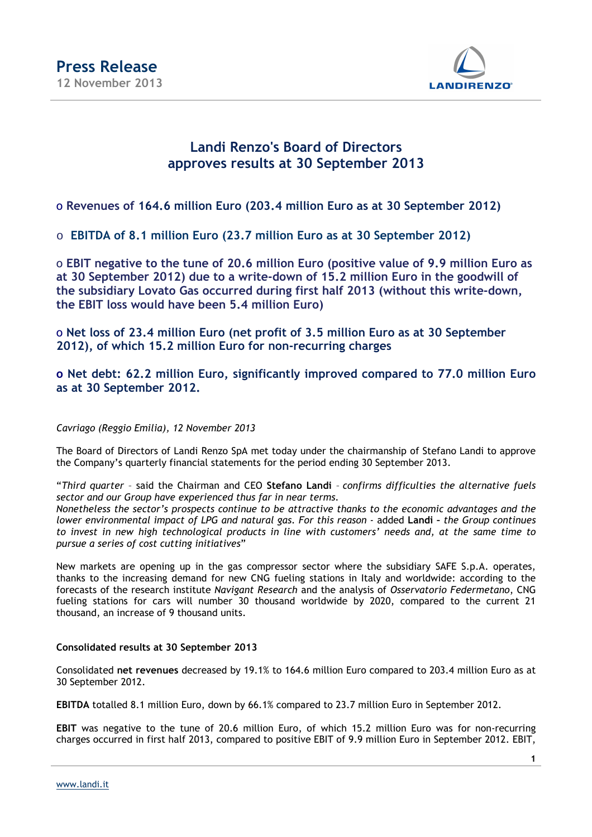

### **Landi Renzo's Board of Directors approves results at 30 September 2013**

o **Revenues of 164.6 million Euro (203.4 million Euro as at 30 September 2012)**

o **EBITDA of 8.1 million Euro (23.7 million Euro as at 30 September 2012)**

o **EBIT negative to the tune of 20.6 million Euro (positive value of 9.9 million Euro as at 30 September 2012) due to a write-down of 15.2 million Euro in the goodwill of the subsidiary Lovato Gas occurred during first half 2013 (without this write-down, the EBIT loss would have been 5.4 million Euro)**

o **Net loss of 23.4 million Euro (net profit of 3.5 million Euro as at 30 September 2012), of which 15.2 million Euro for non-recurring charges**

### **o Net debt: 62.2 million Euro, significantly improved compared to 77.0 million Euro as at 30 September 2012.**

#### *Cavriago (Reggio Emilia), 12 November 2013*

The Board of Directors of Landi Renzo SpA met today under the chairmanship of Stefano Landi to approve the Company's quarterly financial statements for the period ending 30 September 2013.

"*Third quarter* – said the Chairman and CEO **Stefano Landi** – *confirms difficulties the alternative fuels sector and our Group have experienced thus far in near terms.* 

*Nonetheless the sector's prospects continue to be attractive thanks to the economic advantages and the lower environmental impact of LPG and natural gas. For this reason -* added **Landi –** *the Group continues to invest in new high technological products in line with customers' needs and, at the same time to pursue a series of cost cutting initiatives*"

New markets are opening up in the gas compressor sector where the subsidiary SAFE S.p.A. operates, thanks to the increasing demand for new CNG fueling stations in Italy and worldwide: according to the forecasts of the research institute *Navigant Research* and the analysis of *Osservatorio Federmetano*, CNG fueling stations for cars will number 30 thousand worldwide by 2020, compared to the current 21 thousand, an increase of 9 thousand units.

#### **Consolidated results at 30 September 2013**

Consolidated **net revenues** decreased by 19.1% to 164.6 million Euro compared to 203.4 million Euro as at 30 September 2012.

**EBITDA** totalled 8.1 million Euro, down by 66.1% compared to 23.7 million Euro in September 2012.

**EBIT** was negative to the tune of 20.6 million Euro, of which 15.2 million Euro was for non-recurring charges occurred in first half 2013, compared to positive EBIT of 9.9 million Euro in September 2012. EBIT,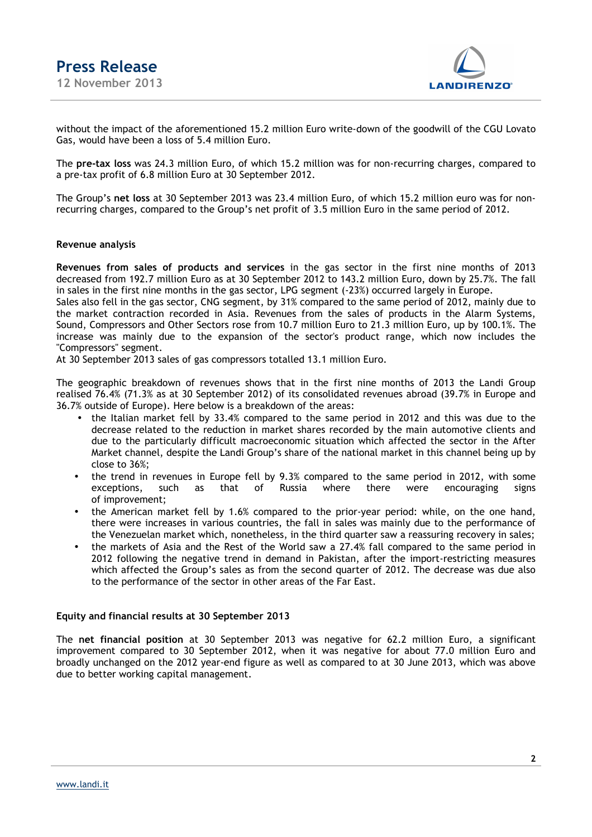

without the impact of the aforementioned 15.2 million Euro write-down of the goodwill of the CGU Lovato Gas, would have been a loss of 5.4 million Euro.

The **pre-tax loss** was 24.3 million Euro, of which 15.2 million was for non-recurring charges, compared to a pre-tax profit of 6.8 million Euro at 30 September 2012.

The Group's **net loss** at 30 September 2013 was 23.4 million Euro, of which 15.2 million euro was for nonrecurring charges, compared to the Group's net profit of 3.5 million Euro in the same period of 2012.

#### **Revenue analysis**

**Revenues from sales of products and services** in the gas sector in the first nine months of 2013 decreased from 192.7 million Euro as at 30 September 2012 to 143.2 million Euro, down by 25.7%. The fall in sales in the first nine months in the gas sector, LPG segment (-23%) occurred largely in Europe.

Sales also fell in the gas sector, CNG segment, by 31% compared to the same period of 2012, mainly due to the market contraction recorded in Asia. Revenues from the sales of products in the Alarm Systems, Sound, Compressors and Other Sectors rose from 10.7 million Euro to 21.3 million Euro, up by 100.1%. The increase was mainly due to the expansion of the sector's product range, which now includes the "Compressors" segment.

At 30 September 2013 sales of gas compressors totalled 13.1 million Euro.

The geographic breakdown of revenues shows that in the first nine months of 2013 the Landi Group realised 76.4% (71.3% as at 30 September 2012) of its consolidated revenues abroad (39.7% in Europe and 36.7% outside of Europe). Here below is a breakdown of the areas:

- the Italian market fell by 33.4% compared to the same period in 2012 and this was due to the decrease related to the reduction in market shares recorded by the main automotive clients and due to the particularly difficult macroeconomic situation which affected the sector in the After Market channel, despite the Landi Group's share of the national market in this channel being up by close to 36%;
- the trend in revenues in Europe fell by 9.3% compared to the same period in 2012, with some exceptions, such as that of Russia where there were encouraging signs of improvement;
- the American market fell by 1.6% compared to the prior-year period: while, on the one hand, there were increases in various countries, the fall in sales was mainly due to the performance of the Venezuelan market which, nonetheless, in the third quarter saw a reassuring recovery in sales;
- the markets of Asia and the Rest of the World saw a 27.4% fall compared to the same period in 2012 following the negative trend in demand in Pakistan, after the import-restricting measures which affected the Group's sales as from the second quarter of 2012. The decrease was due also to the performance of the sector in other areas of the Far East.

#### **Equity and financial results at 30 September 2013**

The **net financial position** at 30 September 2013 was negative for 62.2 million Euro, a significant improvement compared to 30 September 2012, when it was negative for about 77.0 million Euro and broadly unchanged on the 2012 year-end figure as well as compared to at 30 June 2013, which was above due to better working capital management.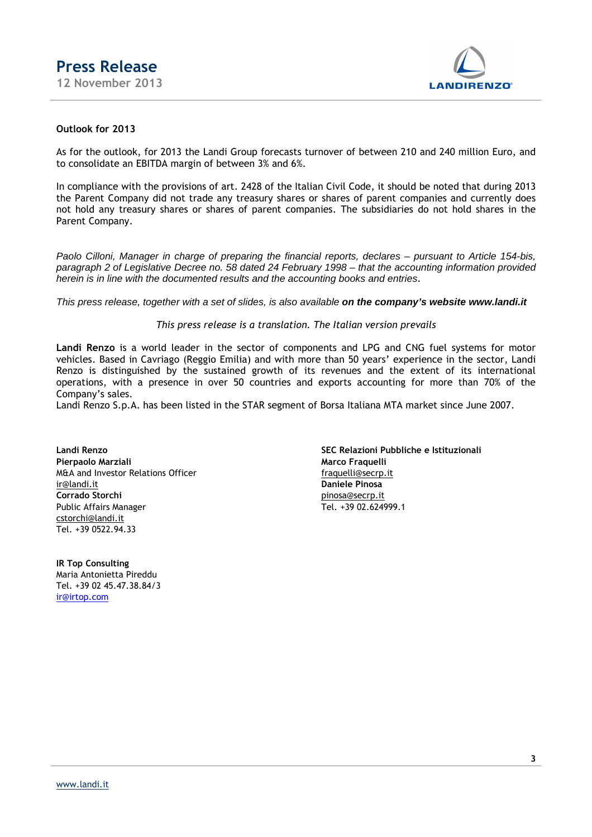

#### **Outlook for 2013**

As for the outlook, for 2013 the Landi Group forecasts turnover of between 210 and 240 million Euro, and to consolidate an EBITDA margin of between 3% and 6%.

In compliance with the provisions of art. 2428 of the Italian Civil Code, it should be noted that during 2013 the Parent Company did not trade any treasury shares or shares of parent companies and currently does not hold any treasury shares or shares of parent companies. The subsidiaries do not hold shares in the Parent Company.

Paolo Cilloni, Manager in charge of preparing the financial reports, declares – pursuant to Article 154-bis, paragraph 2 of Legislative Decree no. 58 dated 24 February 1998 – that the accounting information provided herein is in line with the documented results and the accounting books and entries*.*

This press release, together with a set of slides, is also available **on the company's website www.landi.it** 

#### *This press release is a translation. The Italian version prevails*

**Landi Renzo** is a world leader in the sector of components and LPG and CNG fuel systems for motor vehicles. Based in Cavriago (Reggio Emilia) and with more than 50 years' experience in the sector, Landi Renzo is distinguished by the sustained growth of its revenues and the extent of its international operations, with a presence in over 50 countries and exports accounting for more than 70% of the Company's sales.

Landi Renzo S.p.A. has been listed in the STAR segment of Borsa Italiana MTA market since June 2007.

**Pierpaolo Marziali Marco Fraquelli** M&A and Investor Relations Officer<br>
ir@landi.it **Daniele Pinosa** ir@landi.it **Daniele Pinosa** Public Affairs Manager cstorchi@landi.it Tel. +39 0522.94.33

**IR Top Consulting** Maria Antonietta Pireddu Tel. +39 02 45.47.38.84/3 ir@irtop.com

**Landi Renzo SEC Relazioni Pubbliche e Istituzionali pinosa@secrp.it**<br>Tel. +39 02.624999.1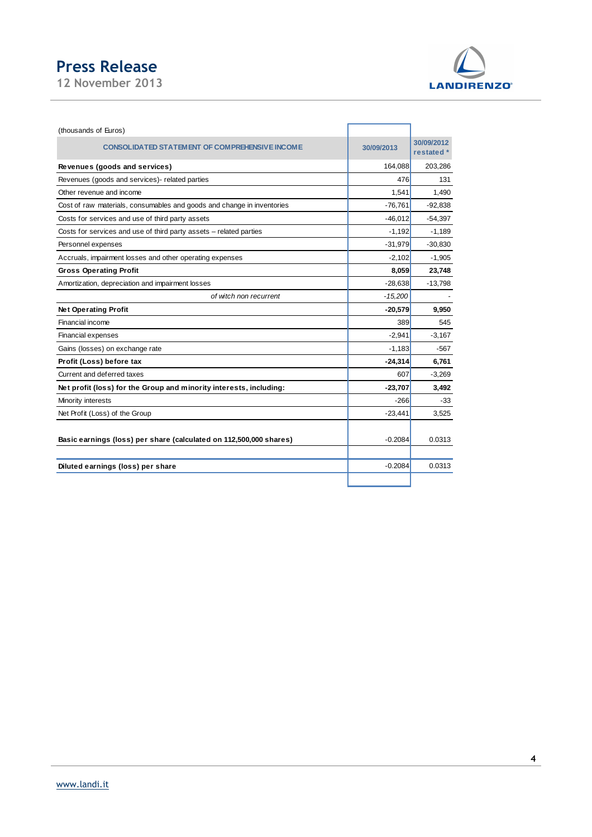# **Press Release**

**12 November 2013** 



| (thousands of Euros)                                                   |            |                          |
|------------------------------------------------------------------------|------------|--------------------------|
| <b>CONSOLIDATED STATEMENT OF COMPREHENSIVE INCOME</b>                  | 30/09/2013 | 30/09/2012<br>restated * |
| Revenues (goods and services)                                          | 164,088    | 203,286                  |
| Revenues (goods and services)- related parties                         | 476        | 131                      |
| Other revenue and income                                               | 1,541      | 1,490                    |
| Cost of raw materials, consumables and goods and change in inventories | $-76,761$  | $-92,838$                |
| Costs for services and use of third party assets                       | $-46,012$  | $-54,397$                |
| Costs for services and use of third party assets - related parties     | $-1,192$   | $-1,189$                 |
| Personnel expenses                                                     | $-31,979$  | $-30,830$                |
| Accruals, impairment losses and other operating expenses               | $-2,102$   | $-1,905$                 |
| <b>Gross Operating Profit</b>                                          | 8,059      | 23,748                   |
| Amortization, depreciation and impairment losses                       | $-28,638$  | $-13,798$                |
| of witch non recurrent                                                 | $-15,200$  |                          |
| <b>Net Operating Profit</b>                                            | $-20,579$  | 9.950                    |
| Financial income                                                       | 389        | 545                      |
| Financial expenses                                                     | $-2,941$   | $-3,167$                 |
| Gains (losses) on exchange rate                                        | $-1,183$   | $-567$                   |
| Profit (Loss) before tax                                               | $-24,314$  | 6,761                    |
| Current and deferred taxes                                             | 607        | $-3,269$                 |
| Net profit (loss) for the Group and minority interests, including:     | $-23,707$  | 3,492                    |
| Minority interests                                                     | $-266$     | -33                      |
| Net Profit (Loss) of the Group                                         | $-23,441$  | 3,525                    |
| Basic earnings (loss) per share (calculated on 112,500,000 shares)     | $-0.2084$  | 0.0313                   |
| Diluted earnings (loss) per share                                      | $-0.2084$  | 0.0313                   |
|                                                                        |            |                          |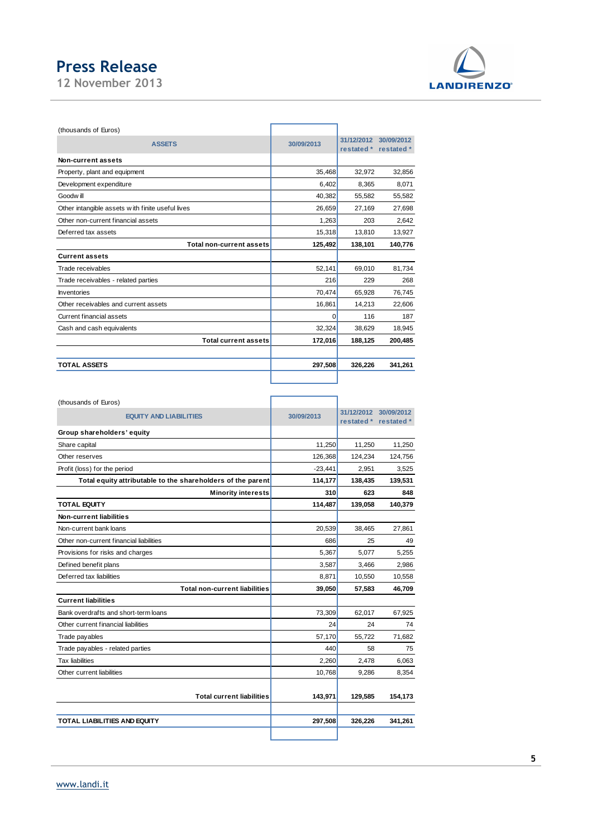# **Press Release**

**12 November 2013** 



| (thousands of Euros)                             |            |                          |                          |
|--------------------------------------------------|------------|--------------------------|--------------------------|
| <b>ASSETS</b>                                    | 30/09/2013 | 31/12/2012<br>restated * | 30/09/2012<br>restated * |
| Non-current assets                               |            |                          |                          |
| Property, plant and equipment                    | 35,468     | 32,972                   | 32,856                   |
| Development expenditure                          | 6,402      | 8.365                    | 8.071                    |
| Goodw ill                                        | 40,382     | 55,582                   | 55,582                   |
| Other intangible assets with finite useful lives | 26,659     | 27,169                   | 27,698                   |
| Other non-current financial assets               | 1,263      | 203                      | 2.642                    |
| Deferred tax assets                              | 15,318     | 13,810                   | 13,927                   |
| <b>Total non-current assets</b>                  | 125,492    | 138,101                  | 140,776                  |
| <b>Current assets</b>                            |            |                          |                          |
| Trade receivables                                | 52,141     | 69,010                   | 81,734                   |
| Trade receivables - related parties              | 216        | 229                      | 268                      |
| <b>Inventories</b>                               | 70,474     | 65,928                   | 76,745                   |
| Other receivables and current assets             | 16,861     | 14,213                   | 22,606                   |
| <b>Current financial assets</b>                  | $\Omega$   | 116                      | 187                      |
| Cash and cash equivalents                        | 32,324     | 38,629                   | 18,945                   |
| <b>Total current assets</b>                      | 172,016    | 188,125                  | 200.485                  |
| <b>TOTAL ASSETS</b>                              | 297,508    | 326,226                  | 341,261                  |
|                                                  |            |                          |                          |

| (thousands of Euros)                                        |            |                                     |            |
|-------------------------------------------------------------|------------|-------------------------------------|------------|
| <b>EQUITY AND LIABILITIES</b>                               | 30/09/2013 | 31/12/2012 30/09/2012<br>restated * | restated * |
| Group shareholders' equity                                  |            |                                     |            |
| Share capital                                               | 11,250     | 11,250                              | 11,250     |
| Other reserves                                              | 126,368    | 124,234                             | 124,756    |
| Profit (loss) for the period                                | $-23,441$  | 2,951                               | 3,525      |
| Total equity attributable to the shareholders of the parent | 114,177    | 138,435                             | 139,531    |
| <b>Minority interests</b>                                   | 310        | 623                                 | 848        |
| <b>TOTAL EQUITY</b>                                         | 114,487    | 139,058                             | 140,379    |
| Non-current liabilities                                     |            |                                     |            |
| Non-current bank loans                                      | 20,539     | 38,465                              | 27,861     |
| Other non-current financial liabilities                     | 686        | 25                                  | 49         |
| Provisions for risks and charges                            | 5,367      | 5,077                               | 5.255      |
| Defined benefit plans                                       | 3,587      | 3,466                               | 2.986      |
| Deferred tax liabilities                                    | 8,871      | 10,550                              | 10,558     |
| <b>Total non-current liabilities</b>                        | 39,050     | 57,583                              | 46,709     |
| <b>Current liabilities</b>                                  |            |                                     |            |
| Bank overdrafts and short-term loans                        | 73,309     | 62,017                              | 67,925     |
| Other current financial liabilities                         | 24         | 24                                  | 74         |
| Trade payables                                              | 57,170     | 55,722                              | 71,682     |
| Trade payables - related parties                            | 440        | 58                                  | 75         |
| <b>Tax liabilities</b>                                      | 2,260      | 2,478                               | 6,063      |
| Other current liabilities                                   | 10,768     | 9,286                               | 8,354      |
| <b>Total current liabilities</b>                            | 143,971    | 129,585                             | 154,173    |
| <b>TOTAL LIABILITIES AND EQUITY</b>                         | 297,508    | 326,226                             | 341,261    |
|                                                             |            |                                     |            |